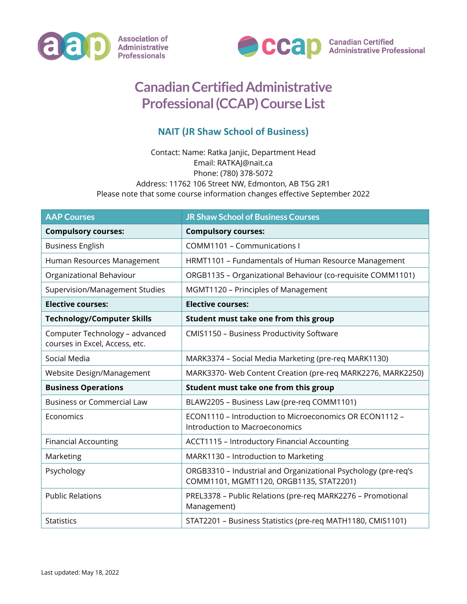



## **Canadian Certified Administrative Professional (CCAP) Course List**

## **NAIT (JR Shaw School of Business)**

## Contact: Name: Ratka Janjic, Department Head Email: RATKAJ@nait.ca Phone: (780) 378-5072 Address: 11762 106 Street NW, Edmonton, AB T5G 2R1 Please note that some course information changes effective September 2022

| <b>AAP Courses</b>                                               | <b>JR Shaw School of Business Courses</b>                                                                 |
|------------------------------------------------------------------|-----------------------------------------------------------------------------------------------------------|
| <b>Compulsory courses:</b>                                       | <b>Compulsory courses:</b>                                                                                |
| <b>Business English</b>                                          | <b>COMM1101 - Communications I</b>                                                                        |
| Human Resources Management                                       | HRMT1101 - Fundamentals of Human Resource Management                                                      |
| Organizational Behaviour                                         | ORGB1135 - Organizational Behaviour (co-requisite COMM1101)                                               |
| Supervision/Management Studies                                   | MGMT1120 - Principles of Management                                                                       |
| <b>Elective courses:</b>                                         | <b>Elective courses:</b>                                                                                  |
| <b>Technology/Computer Skills</b>                                | Student must take one from this group                                                                     |
| Computer Technology - advanced<br>courses in Excel, Access, etc. | CMIS1150 - Business Productivity Software                                                                 |
| Social Media                                                     | MARK3374 - Social Media Marketing (pre-req MARK1130)                                                      |
| Website Design/Management                                        | MARK3370- Web Content Creation (pre-req MARK2276, MARK2250)                                               |
| <b>Business Operations</b>                                       | Student must take one from this group                                                                     |
| <b>Business or Commercial Law</b>                                | BLAW2205 - Business Law (pre-req COMM1101)                                                                |
| Economics                                                        | ECON1110 - Introduction to Microeconomics OR ECON1112 -<br>Introduction to Macroeconomics                 |
| <b>Financial Accounting</b>                                      | <b>ACCT1115 - Introductory Financial Accounting</b>                                                       |
| Marketing                                                        | MARK1130 - Introduction to Marketing                                                                      |
| Psychology                                                       | ORGB3310 - Industrial and Organizational Psychology (pre-req's<br>COMM1101, MGMT1120, ORGB1135, STAT2201) |
| <b>Public Relations</b>                                          | PREL3378 - Public Relations (pre-req MARK2276 - Promotional<br>Management)                                |
| <b>Statistics</b>                                                | STAT2201 - Business Statistics (pre-req MATH1180, CMIS1101)                                               |